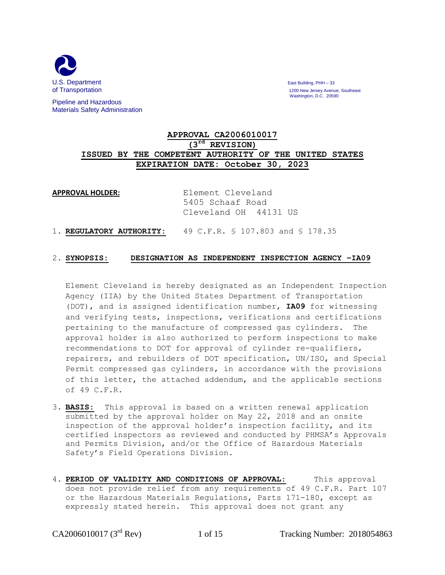

Pipeline and Hazardous Materials Safety Administration

of Transportation 1200 New Jersey Avenue, Southeast Washington, D.C. 20590

### **APPROVAL CA2006010017 (3 rd REVISION) ISSUED BY THE COMPETENT AUTHORITY OF THE UNITED STATES EXPIRATION DATE: October 30, 2023**

APPROVAL HOLDER: Element Cleveland 5405 Schaaf Road Cleveland OH 44131 US

1. **REGULATORY AUTHORITY:** 49 C.F.R. § 107.803 and § 178.35

#### 2. **SYNOPSIS: DESIGNATION AS INDEPENDENT INSPECTION AGENCY –IA09**

Element Cleveland is hereby designated as an Independent Inspection Agency (IIA) by the United States Department of Transportation (DOT), and is assigned identification number, **IA09** for witnessing and verifying tests, inspections, verifications and certifications pertaining to the manufacture of compressed gas cylinders. The approval holder is also authorized to perform inspections to make recommendations to DOT for approval of cylinder re-qualifiers, repairers, and rebuilders of DOT specification, UN/ISO, and Special Permit compressed gas cylinders, in accordance with the provisions of this letter, the attached addendum, and the applicable sections of 49 C.F.R.

- 3. **BASIS:** This approval is based on a written renewal application submitted by the approval holder on May 22, 2018 and an onsite inspection of the approval holder's inspection facility, and its certified inspectors as reviewed and conducted by PHMSA's Approvals and Permits Division, and/or the Office of Hazardous Materials Safety's Field Operations Division.
- 4. **PERIOD OF VALIDITY AND CONDITIONS OF APPROVAL:** This approval does not provide relief from any requirements of 49 C.F.R. Part 107 or the Hazardous Materials Regulations, Parts 171-180, except as expressly stated herein. This approval does not grant any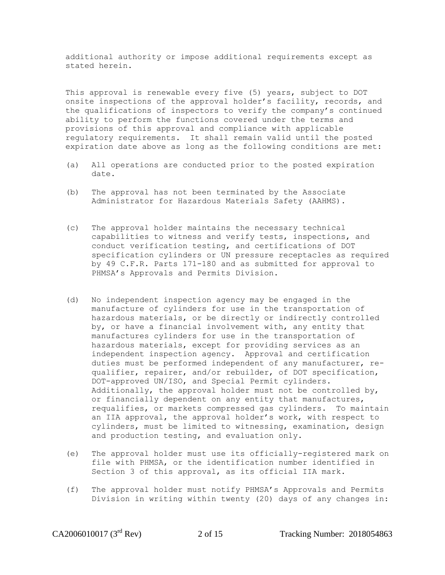additional authority or impose additional requirements except as stated herein.

This approval is renewable every five (5) years, subject to DOT onsite inspections of the approval holder's facility, records, and the qualifications of inspectors to verify the company's continued ability to perform the functions covered under the terms and provisions of this approval and compliance with applicable regulatory requirements. It shall remain valid until the posted expiration date above as long as the following conditions are met:

- (a) All operations are conducted prior to the posted expiration date.
- (b) The approval has not been terminated by the Associate Administrator for Hazardous Materials Safety (AAHMS).
- (c) The approval holder maintains the necessary technical capabilities to witness and verify tests, inspections, and conduct verification testing, and certifications of DOT specification cylinders or UN pressure receptacles as required by 49 C.F.R. Parts 171-180 and as submitted for approval to PHMSA's Approvals and Permits Division.
- (d) No independent inspection agency may be engaged in the manufacture of cylinders for use in the transportation of hazardous materials, or be directly or indirectly controlled by, or have a financial involvement with, any entity that manufactures cylinders for use in the transportation of hazardous materials, except for providing services as an independent inspection agency. Approval and certification duties must be performed independent of any manufacturer, requalifier, repairer, and/or rebuilder, of DOT specification, DOT-approved UN/ISO, and Special Permit cylinders. Additionally, the approval holder must not be controlled by, or financially dependent on any entity that manufactures, requalifies, or markets compressed gas cylinders. To maintain an IIA approval, the approval holder's work, with respect to cylinders, must be limited to witnessing, examination, design and production testing, and evaluation only.
- (e) The approval holder must use its officially-registered mark on file with PHMSA, or the identification number identified in Section 3 of this approval, as its official IIA mark.
- (f) The approval holder must notify PHMSA's Approvals and Permits Division in writing within twenty (20) days of any changes in: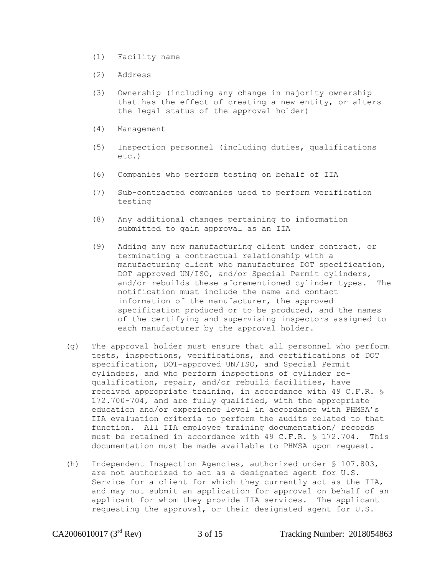- (1) Facility name
- (2) Address
- (3) Ownership (including any change in majority ownership that has the effect of creating a new entity, or alters the legal status of the approval holder)
- (4) Management
- (5) Inspection personnel (including duties, qualifications etc.)
- (6) Companies who perform testing on behalf of IIA
- (7) Sub-contracted companies used to perform verification testing
- (8) Any additional changes pertaining to information submitted to gain approval as an IIA
- (9) Adding any new manufacturing client under contract, or terminating a contractual relationship with a manufacturing client who manufactures DOT specification, DOT approved UN/ISO, and/or Special Permit cylinders, and/or rebuilds these aforementioned cylinder types. The notification must include the name and contact information of the manufacturer, the approved specification produced or to be produced, and the names of the certifying and supervising inspectors assigned to each manufacturer by the approval holder.
- (g) The approval holder must ensure that all personnel who perform tests, inspections, verifications, and certifications of DOT specification, DOT-approved UN/ISO, and Special Permit cylinders, and who perform inspections of cylinder requalification, repair, and/or rebuild facilities, have received appropriate training, in accordance with 49 C.F.R. § 172.700-704, and are fully qualified, with the appropriate education and/or experience level in accordance with PHMSA's IIA evaluation criteria to perform the audits related to that function. All IIA employee training documentation/ records must be retained in accordance with 49 C.F.R. § 172.704. This documentation must be made available to PHMSA upon request.
- (h) Independent Inspection Agencies, authorized under § 107.803, are not authorized to act as a designated agent for U.S. Service for a client for which they currently act as the IIA, and may not submit an application for approval on behalf of an applicant for whom they provide IIA services. The applicant requesting the approval, or their designated agent for U.S.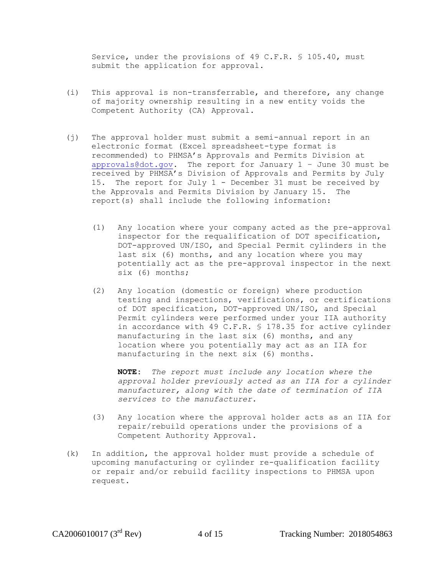Service, under the provisions of 49 C.F.R. § 105.40, must submit the application for approval.

- (i) This approval is non-transferrable, and therefore, any change of majority ownership resulting in a new entity voids the Competent Authority (CA) Approval.
- (j) The approval holder must submit a semi-annual report in an electronic format (Excel spreadsheet-type format is recommended) to PHMSA's Approvals and Permits Division at [approvals@dot.gov.](mailto:approvals@dot.gov) The report for January  $1 -$  June 30 must be received by PHMSA's Division of Approvals and Permits by July 15. The report for July 1 - December 31 must be received by the Approvals and Permits Division by January 15. The report(s) shall include the following information:
	- (1) Any location where your company acted as the pre-approval inspector for the requalification of DOT specification, DOT-approved UN/ISO, and Special Permit cylinders in the last six (6) months, and any location where you may potentially act as the pre-approval inspector in the next six (6) months;
	- (2) Any location (domestic or foreign) where production testing and inspections, verifications, or certifications of DOT specification, DOT-approved UN/ISO, and Special Permit cylinders were performed under your IIA authority in accordance with 49 C.F.R. § 178.35 for active cylinder manufacturing in the last six (6) months, and any location where you potentially may act as an IIA for manufacturing in the next six (6) months.

**NOTE:** *The report must include any location where the approval holder previously acted as an IIA for a cylinder manufacturer, along with the date of termination of IIA services to the manufacturer.*

- (3) Any location where the approval holder acts as an IIA for repair/rebuild operations under the provisions of a Competent Authority Approval.
- (k) In addition, the approval holder must provide a schedule of upcoming manufacturing or cylinder re-qualification facility or repair and/or rebuild facility inspections to PHMSA upon request.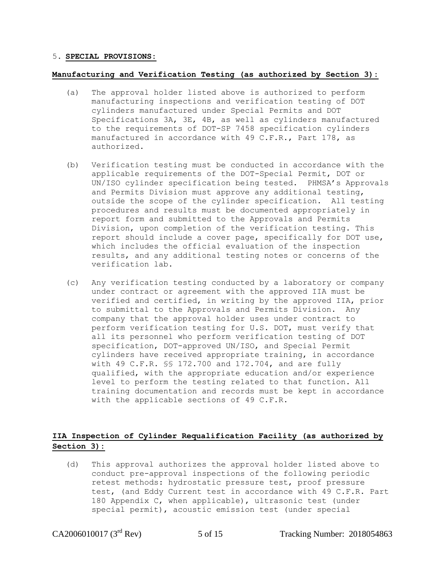### 5. **SPECIAL PROVISIONS:**

#### **Manufacturing and Verification Testing (as authorized by Section 3):**

- (a) The approval holder listed above is authorized to perform manufacturing inspections and verification testing of DOT cylinders manufactured under Special Permits and DOT Specifications 3A, 3E, 4B, as well as cylinders manufactured to the requirements of DOT-SP 7458 specification cylinders manufactured in accordance with 49 C.F.R., Part 178, as authorized.
- (b) Verification testing must be conducted in accordance with the applicable requirements of the DOT-Special Permit, DOT or UN/ISO cylinder specification being tested. PHMSA's Approvals and Permits Division must approve any additional testing, outside the scope of the cylinder specification. All testing procedures and results must be documented appropriately in report form and submitted to the Approvals and Permits Division, upon completion of the verification testing. This report should include a cover page, specifically for DOT use, which includes the official evaluation of the inspection results, and any additional testing notes or concerns of the verification lab.
- (c) Any verification testing conducted by a laboratory or company under contract or agreement with the approved IIA must be verified and certified, in writing by the approved IIA, prior to submittal to the Approvals and Permits Division. Any company that the approval holder uses under contract to perform verification testing for U.S. DOT, must verify that all its personnel who perform verification testing of DOT specification, DOT-approved UN/ISO, and Special Permit cylinders have received appropriate training, in accordance with 49 C.F.R. §§ 172.700 and 172.704, and are fully qualified, with the appropriate education and/or experience level to perform the testing related to that function. All training documentation and records must be kept in accordance with the applicable sections of 49 C.F.R.

### **IIA Inspection of Cylinder Requalification Facility (as authorized by Section 3):**

(d) This approval authorizes the approval holder listed above to conduct pre-approval inspections of the following periodic retest methods: hydrostatic pressure test, proof pressure test, (and Eddy Current test in accordance with 49 C.F.R. Part 180 Appendix C, when applicable), ultrasonic test (under special permit), acoustic emission test (under special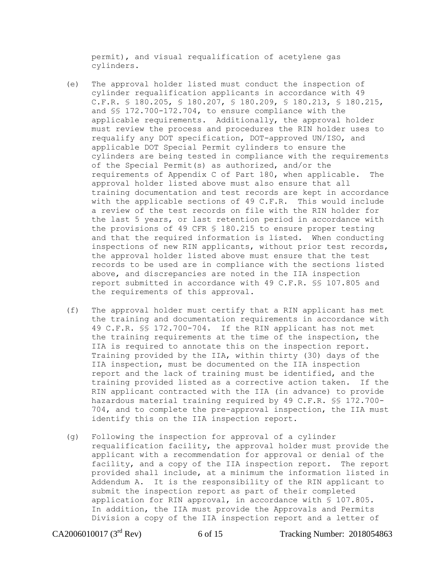permit), and visual requalification of acetylene gas cylinders.

- (e) The approval holder listed must conduct the inspection of cylinder requalification applicants in accordance with 49 C.F.R. § 180.205, § 180.207, § 180.209, § 180.213, § 180.215, and §§ 172.700-172.704, to ensure compliance with the applicable requirements. Additionally, the approval holder must review the process and procedures the RIN holder uses to requalify any DOT specification, DOT-approved UN/ISO, and applicable DOT Special Permit cylinders to ensure the cylinders are being tested in compliance with the requirements of the Special Permit(s) as authorized, and/or the requirements of Appendix C of Part 180, when applicable. The approval holder listed above must also ensure that all training documentation and test records are kept in accordance with the applicable sections of 49 C.F.R. This would include a review of the test records on file with the RIN holder for the last 5 years, or last retention period in accordance with the provisions of 49 CFR § 180.215 to ensure proper testing and that the required information is listed. When conducting inspections of new RIN applicants, without prior test records, the approval holder listed above must ensure that the test records to be used are in compliance with the sections listed above, and discrepancies are noted in the IIA inspection report submitted in accordance with 49 C.F.R. §§ 107.805 and the requirements of this approval.
- (f) The approval holder must certify that a RIN applicant has met the training and documentation requirements in accordance with 49 C.F.R. §§ 172.700-704. If the RIN applicant has not met the training requirements at the time of the inspection, the IIA is required to annotate this on the inspection report. Training provided by the IIA, within thirty (30) days of the IIA inspection, must be documented on the IIA inspection report and the lack of training must be identified, and the training provided listed as a corrective action taken. If the RIN applicant contracted with the IIA (in advance) to provide hazardous material training required by 49 C.F.R. §§ 172.700- 704, and to complete the pre-approval inspection, the IIA must identify this on the IIA inspection report.
- (g) Following the inspection for approval of a cylinder requalification facility, the approval holder must provide the applicant with a recommendation for approval or denial of the facility, and a copy of the IIA inspection report. The report provided shall include, at a minimum the information listed in Addendum A. It is the responsibility of the RIN applicant to submit the inspection report as part of their completed application for RIN approval, in accordance with § 107.805. In addition, the IIA must provide the Approvals and Permits Division a copy of the IIA inspection report and a letter of

CA2006010017 (3<sup>rd</sup> Rev) 6 of 15 Tracking Number: 2018054863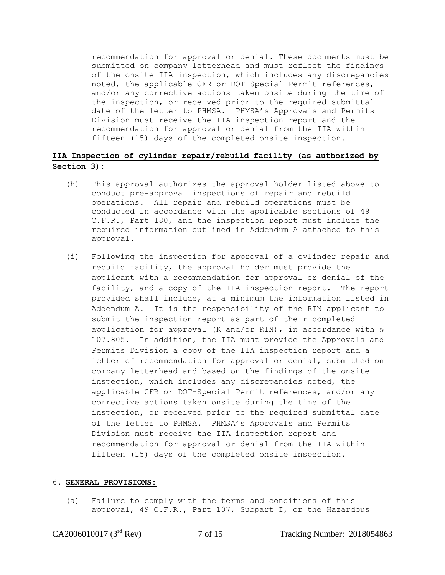recommendation for approval or denial. These documents must be submitted on company letterhead and must reflect the findings of the onsite IIA inspection, which includes any discrepancies noted, the applicable CFR or DOT-Special Permit references, and/or any corrective actions taken onsite during the time of the inspection, or received prior to the required submittal date of the letter to PHMSA. PHMSA's Approvals and Permits Division must receive the IIA inspection report and the recommendation for approval or denial from the IIA within fifteen (15) days of the completed onsite inspection.

### **IIA Inspection of cylinder repair/rebuild facility (as authorized by Section 3):**

- (h) This approval authorizes the approval holder listed above to conduct pre-approval inspections of repair and rebuild operations. All repair and rebuild operations must be conducted in accordance with the applicable sections of 49 C.F.R., Part 180, and the inspection report must include the required information outlined in Addendum A attached to this approval.
- (i) Following the inspection for approval of a cylinder repair and rebuild facility, the approval holder must provide the applicant with a recommendation for approval or denial of the facility, and a copy of the IIA inspection report. The report provided shall include, at a minimum the information listed in Addendum A. It is the responsibility of the RIN applicant to submit the inspection report as part of their completed application for approval (K and/or RIN), in accordance with § 107.805. In addition, the IIA must provide the Approvals and Permits Division a copy of the IIA inspection report and a letter of recommendation for approval or denial, submitted on company letterhead and based on the findings of the onsite inspection, which includes any discrepancies noted, the applicable CFR or DOT-Special Permit references, and/or any corrective actions taken onsite during the time of the inspection, or received prior to the required submittal date of the letter to PHMSA. PHMSA's Approvals and Permits Division must receive the IIA inspection report and recommendation for approval or denial from the IIA within fifteen (15) days of the completed onsite inspection.

#### 6. **GENERAL PROVISIONS:**

(a) Failure to comply with the terms and conditions of this approval, 49 C.F.R., Part 107, Subpart I, or the Hazardous

CA2006010017 (3<sup>rd</sup> Rev) 7 of 15 Tracking Number: 2018054863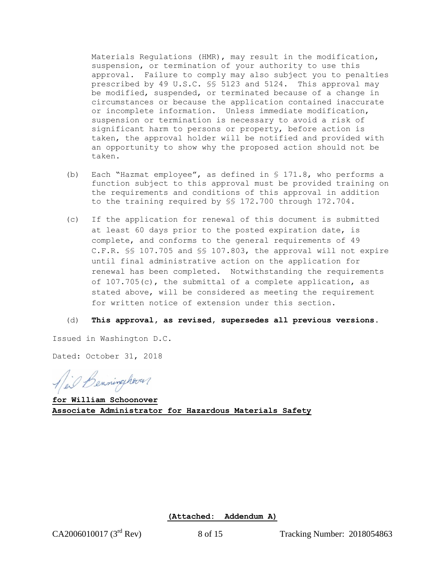Materials Regulations (HMR), may result in the modification, suspension, or termination of your authority to use this approval. Failure to comply may also subject you to penalties prescribed by 49 U.S.C. §§ 5123 and 5124. This approval may be modified, suspended, or terminated because of a change in circumstances or because the application contained inaccurate or incomplete information. Unless immediate modification, suspension or termination is necessary to avoid a risk of significant harm to persons or property, before action is taken, the approval holder will be notified and provided with an opportunity to show why the proposed action should not be taken.

- (b) Each "Hazmat employee", as defined in § 171.8, who performs a function subject to this approval must be provided training on the requirements and conditions of this approval in addition to the training required by §§ 172.700 through 172.704.
- (c) If the application for renewal of this document is submitted at least 60 days prior to the posted expiration date, is complete, and conforms to the general requirements of 49 C.F.R. §§ 107.705 and §§ 107.803, the approval will not expire until final administrative action on the application for renewal has been completed. Notwithstanding the requirements of 107.705(c), the submittal of a complete application, as stated above, will be considered as meeting the requirement for written notice of extension under this section.
- (d) **This approval, as revised, supersedes all previous versions**.

Issued in Washington D.C.

Dated: October 31, 2018

Ail Benninghaver

**for William Schoonover Associate Administrator for Hazardous Materials Safety**

**(Attached: Addendum A)**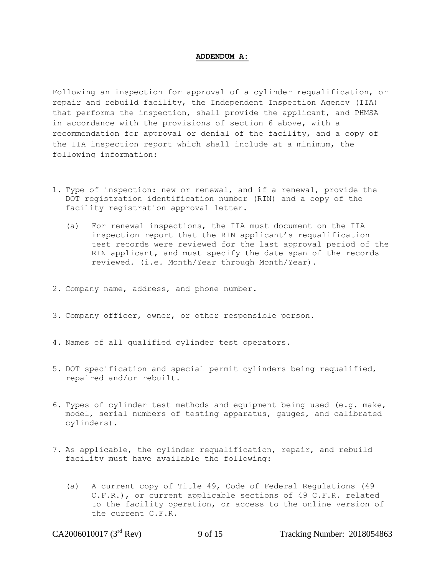#### **ADDENDUM A:**

Following an inspection for approval of a cylinder requalification, or repair and rebuild facility, the Independent Inspection Agency (IIA) that performs the inspection, shall provide the applicant, and PHMSA in accordance with the provisions of section 6 above, with a recommendation for approval or denial of the facility, and a copy of the IIA inspection report which shall include at a minimum, the following information:

- 1. Type of inspection: new or renewal, and if a renewal, provide the DOT registration identification number (RIN) and a copy of the facility registration approval letter.
	- (a) For renewal inspections, the IIA must document on the IIA inspection report that the RIN applicant's requalification test records were reviewed for the last approval period of the RIN applicant, and must specify the date span of the records reviewed. (i.e. Month/Year through Month/Year).
- 2. Company name, address, and phone number.
- 3. Company officer, owner, or other responsible person.
- 4. Names of all qualified cylinder test operators.
- 5. DOT specification and special permit cylinders being requalified, repaired and/or rebuilt.
- 6. Types of cylinder test methods and equipment being used (e.g. make, model, serial numbers of testing apparatus, gauges, and calibrated cylinders).
- 7. As applicable, the cylinder requalification, repair, and rebuild facility must have available the following:
	- (a) A current copy of Title 49, Code of Federal Regulations (49 C.F.R.), or current applicable sections of 49 C.F.R. related to the facility operation, or access to the online version of the current C.F.R.

CA2006010017 (3<sup>rd</sup> Rev) 9 of 15 Tracking Number: 2018054863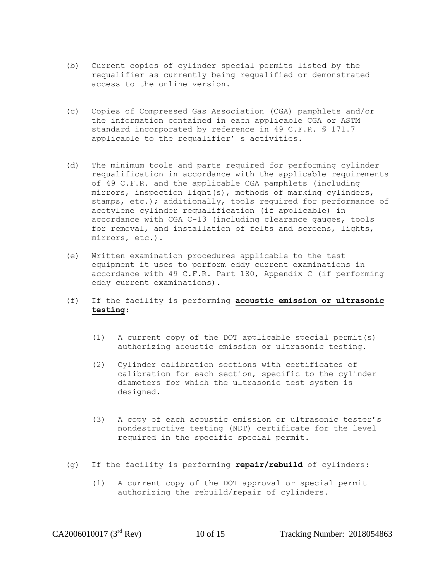- (b) Current copies of cylinder special permits listed by the requalifier as currently being requalified or demonstrated access to the online version.
- (c) Copies of Compressed Gas Association (CGA) pamphlets and/or the information contained in each applicable CGA or ASTM standard incorporated by reference in 49 C.F.R. § 171.7 applicable to the requalifier' s activities.
- (d) The minimum tools and parts required for performing cylinder requalification in accordance with the applicable requirements of 49 C.F.R. and the applicable CGA pamphlets (including mirrors, inspection light(s), methods of marking cylinders, stamps, etc.); additionally, tools required for performance of acetylene cylinder requalification (if applicable) in accordance with CGA C-13 (including clearance gauges, tools for removal, and installation of felts and screens, lights, mirrors, etc.).
- (e) Written examination procedures applicable to the test equipment it uses to perform eddy current examinations in accordance with 49 C.F.R. Part 180, Appendix C (if performing eddy current examinations).
- (f) If the facility is performing **acoustic emission or ultrasonic testing**:
	- (1) A current copy of the DOT applicable special permit(s) authorizing acoustic emission or ultrasonic testing.
	- (2) Cylinder calibration sections with certificates of calibration for each section, specific to the cylinder diameters for which the ultrasonic test system is designed.
	- (3) A copy of each acoustic emission or ultrasonic tester's nondestructive testing (NDT) certificate for the level required in the specific special permit.
- (g) If the facility is performing **repair/rebuild** of cylinders:
	- (1) A current copy of the DOT approval or special permit authorizing the rebuild/repair of cylinders.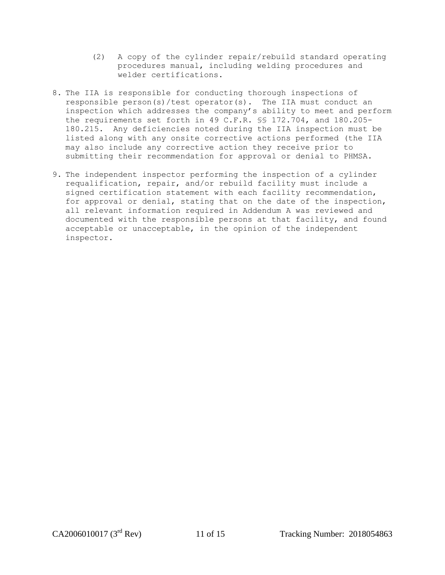- (2) A copy of the cylinder repair/rebuild standard operating procedures manual, including welding procedures and welder certifications.
- 8. The IIA is responsible for conducting thorough inspections of responsible person(s)/test operator(s). The IIA must conduct an inspection which addresses the company's ability to meet and perform the requirements set forth in 49 C.F.R. §§ 172.704, and 180.205- 180.215. Any deficiencies noted during the IIA inspection must be listed along with any onsite corrective actions performed (the IIA may also include any corrective action they receive prior to submitting their recommendation for approval or denial to PHMSA.
- 9. The independent inspector performing the inspection of a cylinder requalification, repair, and/or rebuild facility must include a signed certification statement with each facility recommendation, for approval or denial, stating that on the date of the inspection, all relevant information required in Addendum A was reviewed and documented with the responsible persons at that facility, and found acceptable or unacceptable, in the opinion of the independent inspector.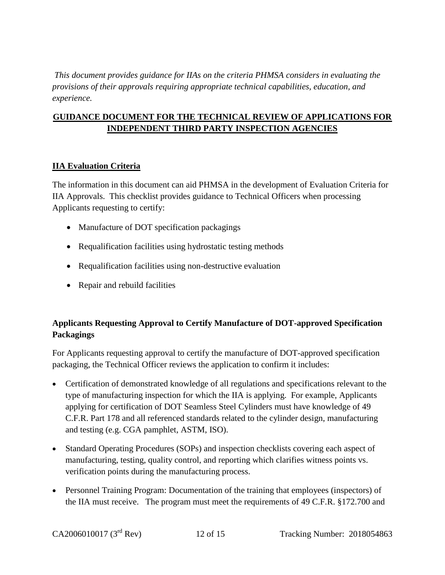*This document provides guidance for IIAs on the criteria PHMSA considers in evaluating the provisions of their approvals requiring appropriate technical capabilities, education, and experience.*

### **GUIDANCE DOCUMENT FOR THE TECHNICAL REVIEW OF APPLICATIONS FOR INDEPENDENT THIRD PARTY INSPECTION AGENCIES**

### **IIA Evaluation Criteria**

The information in this document can aid PHMSA in the development of Evaluation Criteria for IIA Approvals. This checklist provides guidance to Technical Officers when processing Applicants requesting to certify:

- Manufacture of DOT specification packagings
- Requalification facilities using hydrostatic testing methods
- Requalification facilities using non-destructive evaluation
- Repair and rebuild facilities

# **Applicants Requesting Approval to Certify Manufacture of DOT-approved Specification Packagings**

For Applicants requesting approval to certify the manufacture of DOT-approved specification packaging, the Technical Officer reviews the application to confirm it includes:

- Certification of demonstrated knowledge of all regulations and specifications relevant to the type of manufacturing inspection for which the IIA is applying. For example, Applicants applying for certification of DOT Seamless Steel Cylinders must have knowledge of 49 C.F.R. Part 178 and all referenced standards related to the cylinder design, manufacturing and testing (e.g. CGA pamphlet, ASTM, ISO).
- Standard Operating Procedures (SOPs) and inspection checklists covering each aspect of manufacturing, testing, quality control, and reporting which clarifies witness points vs. verification points during the manufacturing process.
- Personnel Training Program: Documentation of the training that employees (inspectors) of the IIA must receive. The program must meet the requirements of 49 C.F.R. §172.700 and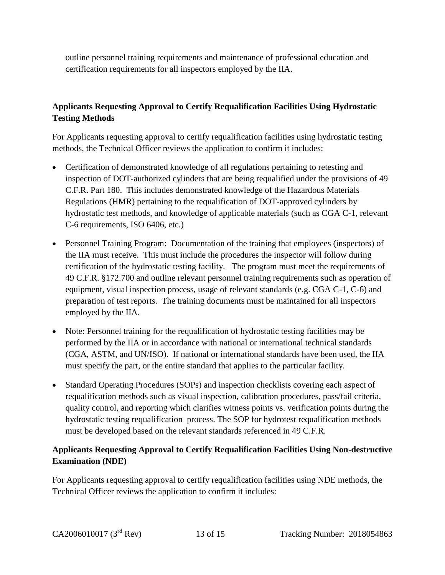outline personnel training requirements and maintenance of professional education and certification requirements for all inspectors employed by the IIA.

# **Applicants Requesting Approval to Certify Requalification Facilities Using Hydrostatic Testing Methods**

For Applicants requesting approval to certify requalification facilities using hydrostatic testing methods, the Technical Officer reviews the application to confirm it includes:

- Certification of demonstrated knowledge of all regulations pertaining to retesting and inspection of DOT-authorized cylinders that are being requalified under the provisions of 49 C.F.R. Part 180. This includes demonstrated knowledge of the Hazardous Materials Regulations (HMR) pertaining to the requalification of DOT-approved cylinders by hydrostatic test methods, and knowledge of applicable materials (such as CGA C-1, relevant C-6 requirements, ISO 6406, etc.)
- Personnel Training Program: Documentation of the training that employees (inspectors) of the IIA must receive. This must include the procedures the inspector will follow during certification of the hydrostatic testing facility. The program must meet the requirements of 49 C.F.R. §172.700 and outline relevant personnel training requirements such as operation of equipment, visual inspection process, usage of relevant standards (e.g. CGA C-1, C-6) and preparation of test reports. The training documents must be maintained for all inspectors employed by the IIA.
- Note: Personnel training for the requalification of hydrostatic testing facilities may be performed by the IIA or in accordance with national or international technical standards (CGA, ASTM, and UN/ISO). If national or international standards have been used, the IIA must specify the part, or the entire standard that applies to the particular facility.
- Standard Operating Procedures (SOPs) and inspection checklists covering each aspect of requalification methods such as visual inspection, calibration procedures, pass/fail criteria, quality control, and reporting which clarifies witness points vs. verification points during the hydrostatic testing requalification process. The SOP for hydrotest requalification methods must be developed based on the relevant standards referenced in 49 C.F.R.

# **Applicants Requesting Approval to Certify Requalification Facilities Using Non-destructive Examination (NDE)**

For Applicants requesting approval to certify requalification facilities using NDE methods, the Technical Officer reviews the application to confirm it includes: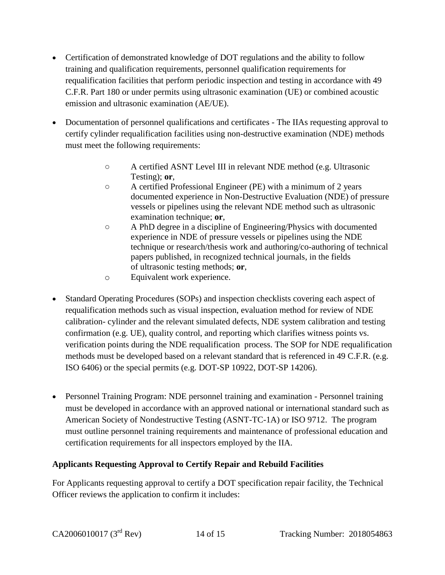- Certification of demonstrated knowledge of DOT regulations and the ability to follow training and qualification requirements, personnel qualification requirements for requalification facilities that perform periodic inspection and testing in accordance with 49 C.F.R. Part 180 or under permits using ultrasonic examination (UE) or combined acoustic emission and ultrasonic examination (AE/UE).
- Documentation of personnel qualifications and certificates The IIAs requesting approval to certify cylinder requalification facilities using non-destructive examination (NDE) methods must meet the following requirements:
	- A certified ASNT Level III in relevant NDE method (e.g. Ultrasonic Testing); **or**,
	- A certified Professional Engineer (PE) with a minimum of 2 years documented experience in Non-Destructive Evaluation (NDE) of pressure vessels or pipelines using the relevant NDE method such as ultrasonic examination technique; **or**,
	- A PhD degree in a discipline of Engineering/Physics with documented experience in NDE of pressure vessels or pipelines using the NDE technique or research/thesis work and authoring/co-authoring of technical papers published, in recognized technical journals, in the fields of ultrasonic testing methods; **or**,
	- o Equivalent work experience.
- Standard Operating Procedures (SOPs) and inspection checklists covering each aspect of requalification methods such as visual inspection, evaluation method for review of NDE calibration- cylinder and the relevant simulated defects, NDE system calibration and testing confirmation (e.g. UE), quality control, and reporting which clarifies witness points vs. verification points during the NDE requalification process. The SOP for NDE requalification methods must be developed based on a relevant standard that is referenced in 49 C.F.R. (e.g. ISO 6406) or the special permits (e.g. DOT-SP 10922, DOT-SP 14206).
- Personnel Training Program: NDE personnel training and examination Personnel training must be developed in accordance with an approved national or international standard such as American Society of Nondestructive Testing (ASNT-TC-1A) or ISO 9712. The program must outline personnel training requirements and maintenance of professional education and certification requirements for all inspectors employed by the IIA.

# **Applicants Requesting Approval to Certify Repair and Rebuild Facilities**

For Applicants requesting approval to certify a DOT specification repair facility, the Technical Officer reviews the application to confirm it includes: